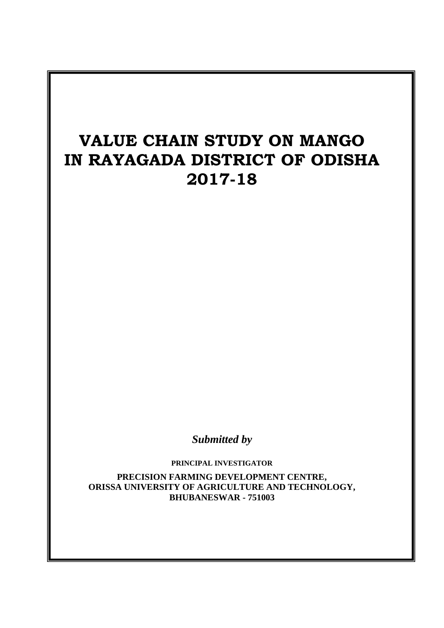# **VALUE CHAIN STUDY ON MANGO IN RAYAGADA DISTRICT OF ODISHA 2017-18**

*Submitted by*

**PRINCIPAL INVESTIGATOR PRECISION FARMING DEVELOPMENT CENTRE, ORISSA UNIVERSITY OF AGRICULTURE AND TECHNOLOGY, BHUBANESWAR - 751003**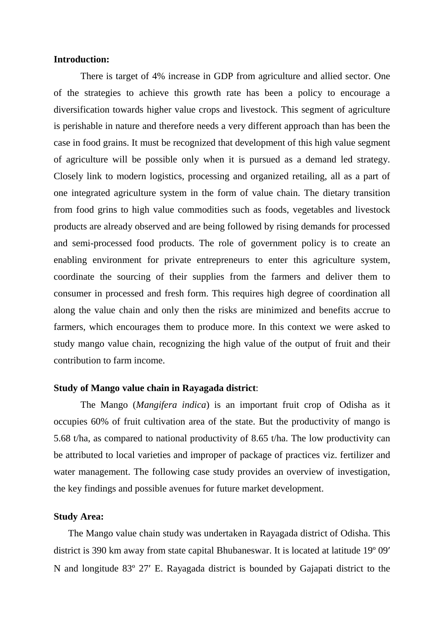#### **Introduction:**

There is target of 4% increase in GDP from agriculture and allied sector. One of the strategies to achieve this growth rate has been a policy to encourage a diversification towards higher value crops and livestock. This segment of agriculture is perishable in nature and therefore needs a very different approach than has been the case in food grains. It must be recognized that development of this high value segment of agriculture will be possible only when it is pursued as a demand led strategy. Closely link to modern logistics, processing and organized retailing, all as a part of one integrated agriculture system in the form of value chain. The dietary transition from food grins to high value commodities such as foods, vegetables and livestock products are already observed and are being followed by rising demands for processed and semi-processed food products. The role of government policy is to create an enabling environment for private entrepreneurs to enter this agriculture system, coordinate the sourcing of their supplies from the farmers and deliver them to consumer in processed and fresh form. This requires high degree of coordination all along the value chain and only then the risks are minimized and benefits accrue to farmers, which encourages them to produce more. In this context we were asked to study mango value chain, recognizing the high value of the output of fruit and their contribution to farm income.

#### **Study of Mango value chain in Rayagada district**:

The Mango (*Mangifera indica*) is an important fruit crop of Odisha as it occupies 60% of fruit cultivation area of the state. But the productivity of mango is 5.68 t/ha, as compared to national productivity of 8.65 t/ha. The low productivity can be attributed to local varieties and improper of package of practices viz. fertilizer and water management. The following case study provides an overview of investigation, the key findings and possible avenues for future market development.

#### **Study Area:**

The Mango value chain study was undertaken in Rayagada district of Odisha. This district is 390 km away from state capital Bhubaneswar. It is located at latitude 19<sup>°</sup> 09' N and longitude 83º 27 E. Rayagada district is bounded by Gajapati district to the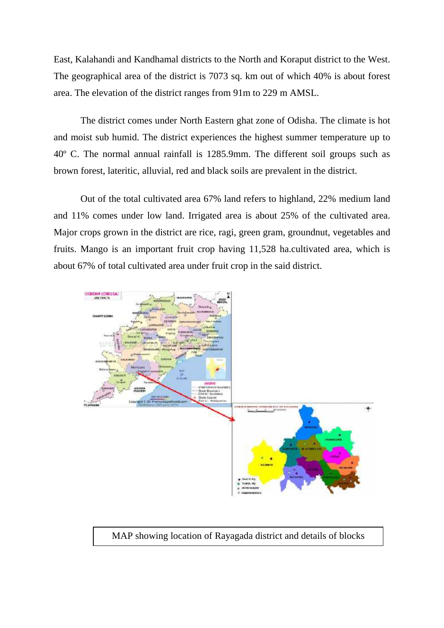East, Kalahandi and Kandhamal districts to the North and Koraput district to the West. The geographical area of the district is 7073 sq. km out of which 40% is about forest area. The elevation of the district ranges from 91m to 229 m AMSL.

The district comes under North Eastern ghat zone of Odisha. The climate is hot and moist sub humid. The district experiences the highest summer temperature up to 40º C. The normal annual rainfall is 1285.9mm. The different soil groups such as brown forest, lateritic, alluvial, red and black soils are prevalent in the district.

Out of the total cultivated area 67% land refers to highland, 22% medium land and 11% comes under low land. Irrigated area is about 25% of the cultivated area. Major crops grown in the district are rice, ragi, green gram, groundnut, vegetables and fruits. Mango is an important fruit crop having 11,528 ha.cultivated area, which is about 67% of total cultivated area under fruit crop in the said district.



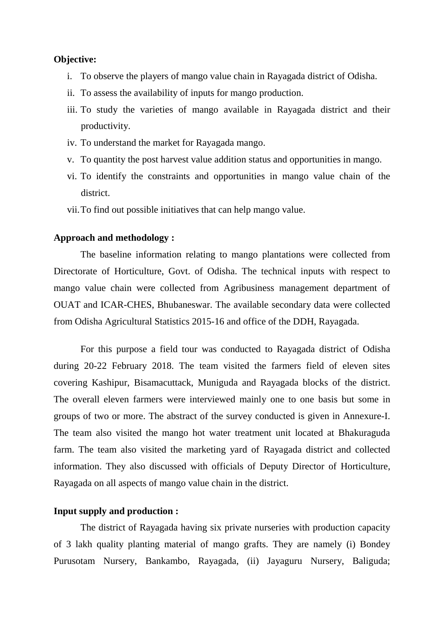#### **Objective:**

- i. To observe the players of mango value chain in Rayagada district of Odisha.
- ii. To assess the availability of inputs for mango production.
- iii. To study the varieties of mango available in Rayagada district and their productivity.
- iv. To understand the market for Rayagada mango.
- v. To quantity the post harvest value addition status and opportunities in mango.
- vi. To identify the constraints and opportunities in mango value chain of the district.
- vii.To find out possible initiatives that can help mango value.

#### **Approach and methodology :**

The baseline information relating to mango plantations were collected from Directorate of Horticulture, Govt. of Odisha. The technical inputs with respect to mango value chain were collected from Agribusiness management department of OUAT and ICAR-CHES, Bhubaneswar. The available secondary data were collected from Odisha Agricultural Statistics 2015-16 and office of the DDH, Rayagada.

For this purpose a field tour was conducted to Rayagada district of Odisha during 20-22 February 2018. The team visited the farmers field of eleven sites covering Kashipur, Bisamacuttack, Muniguda and Rayagada blocks of the district. The overall eleven farmers were interviewed mainly one to one basis but some in groups of two or more. The abstract of the survey conducted is given in Annexure-I. The team also visited the mango hot water treatment unit located at Bhakuraguda farm. The team also visited the marketing yard of Rayagada district and collected information. They also discussed with officials of Deputy Director of Horticulture, Rayagada on all aspects of mango value chain in the district.

#### **Input supply and production :**

The district of Rayagada having six private nurseries with production capacity of 3 lakh quality planting material of mango grafts. They are namely (i) Bondey Purusotam Nursery, Bankambo, Rayagada, (ii) Jayaguru Nursery, Baliguda;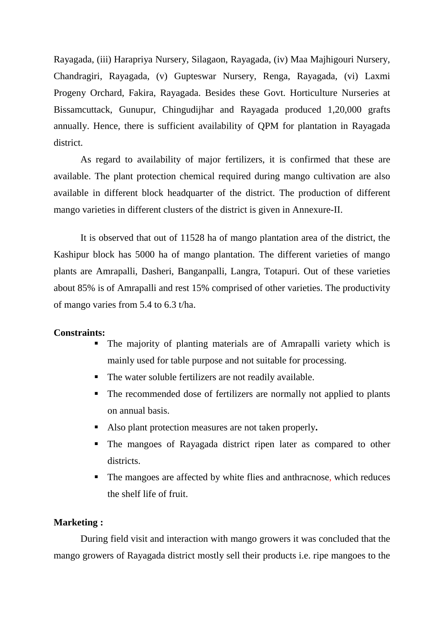Rayagada, (iii) Harapriya Nursery, Silagaon, Rayagada, (iv) Maa Majhigouri Nursery, Chandragiri, Rayagada, (v) Gupteswar Nursery, Renga, Rayagada, (vi) Laxmi Progeny Orchard, Fakira, Rayagada. Besides these Govt. Horticulture Nurseries at Bissamcuttack, Gunupur, Chingudijhar and Rayagada produced 1,20,000 grafts annually. Hence, there is sufficient availability of QPM for plantation in Rayagada district.

As regard to availability of major fertilizers, it is confirmed that these are available. The plant protection chemical required during mango cultivation are also available in different block headquarter of the district. The production of different mango varieties in different clusters of the district is given in Annexure-II.

It is observed that out of 11528 ha of mango plantation area of the district, the Kashipur block has 5000 ha of mango plantation. The different varieties of mango plants are Amrapalli, Dasheri, Banganpalli, Langra, Totapuri. Out of these varieties about 85% is of Amrapalli and rest 15% comprised of other varieties. The productivity of mango varies from 5.4 to 6.3 t/ha.

#### **Constraints:**

- The majority of planting materials are of Amrapalli variety which is mainly used for table purpose and not suitable for processing.
- The water soluble fertilizers are not readily available.
- The recommended dose of fertilizers are normally not applied to plants on annual basis.
- Also plant protection measures are not taken properly**.**
- The mangoes of Rayagada district ripen later as compared to other districts.
- The mangoes are affected by white flies and anthracnose, which reduces the shelf life of fruit.

#### **Marketing :**

During field visit and interaction with mango growers it was concluded that the mango growers of Rayagada district mostly sell their products i.e. ripe mangoes to the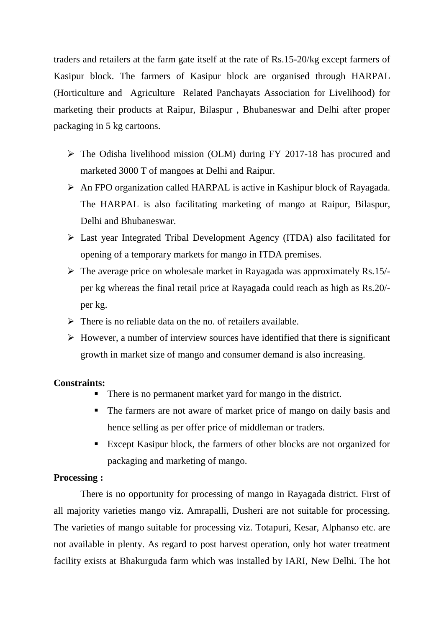traders and retailers at the farm gate itself at the rate of Rs.15-20/kg except farmers of Kasipur block. The farmers of Kasipur block are organised through HARPAL (Horticulture and Agriculture Related Panchayats Association for Livelihood) for marketing their products at Raipur, Bilaspur , Bhubaneswar and Delhi after proper packaging in 5 kg cartoons.

- $\triangleright$  The Odisha livelihood mission (OLM) during FY 2017-18 has procured and marketed 3000 T of mangoes at Delhi and Raipur.
- An FPO organization called HARPAL is active in Kashipur block of Rayagada. The HARPAL is also facilitating marketing of mango at Raipur, Bilaspur, Delhi and Bhubaneswar.
- Last year Integrated Tribal Development Agency (ITDA) also facilitated for opening of a temporary markets for mango in ITDA premises.
- $\triangleright$  The average price on wholesale market in Rayagada was approximately Rs.15/per kg whereas the final retail price at Rayagada could reach as high as Rs.20/ per kg.
- $\triangleright$  There is no reliable data on the no. of retailers available.
- $\triangleright$  However, a number of interview sources have identified that there is significant growth in market size of mango and consumer demand is also increasing.

#### **Constraints:**

- There is no permanent market yard for mango in the district.
- The farmers are not aware of market price of mango on daily basis and hence selling as per offer price of middleman or traders.
- Except Kasipur block, the farmers of other blocks are not organized for packaging and marketing of mango.

#### **Processing :**

There is no opportunity for processing of mango in Rayagada district. First of all majority varieties mango viz. Amrapalli, Dusheri are not suitable for processing. The varieties of mango suitable for processing viz. Totapuri, Kesar, Alphanso etc. are not available in plenty. As regard to post harvest operation, only hot water treatment facility exists at Bhakurguda farm which was installed by IARI, New Delhi. The hot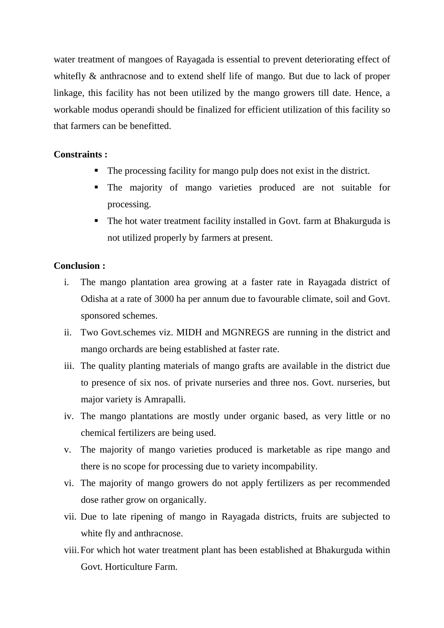water treatment of mangoes of Rayagada is essential to prevent deteriorating effect of whitefly  $\&$  anthracnose and to extend shelf life of mango. But due to lack of proper linkage, this facility has not been utilized by the mango growers till date. Hence, a workable modus operandi should be finalized for efficient utilization of this facility so that farmers can be benefitted.

#### **Constraints :**

- The processing facility for mango pulp does not exist in the district.
- The majority of mango varieties produced are not suitable for processing.
- The hot water treatment facility installed in Govt. farm at Bhakurguda is not utilized properly by farmers at present.

#### **Conclusion :**

- i. The mango plantation area growing at a faster rate in Rayagada district of Odisha at a rate of 3000 ha per annum due to favourable climate, soil and Govt. sponsored schemes.
- ii. Two Govt.schemes viz. MIDH and MGNREGS are running in the district and mango orchards are being established at faster rate.
- iii. The quality planting materials of mango grafts are available in the district due to presence of six nos. of private nurseries and three nos. Govt. nurseries, but major variety is Amrapalli.
- iv. The mango plantations are mostly under organic based, as very little or no chemical fertilizers are being used.
- v. The majority of mango varieties produced is marketable as ripe mango and there is no scope for processing due to variety incompability.
- vi. The majority of mango growers do not apply fertilizers as per recommended dose rather grow on organically.
- vii. Due to late ripening of mango in Rayagada districts, fruits are subjected to white fly and anthracnose.
- viii.For which hot water treatment plant has been established at Bhakurguda within Govt. Horticulture Farm.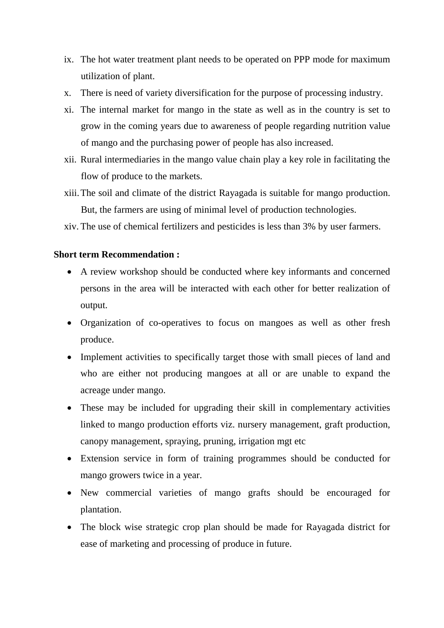- ix. The hot water treatment plant needs to be operated on PPP mode for maximum utilization of plant.
- x. There is need of variety diversification for the purpose of processing industry.
- xi. The internal market for mango in the state as well as in the country is set to grow in the coming years due to awareness of people regarding nutrition value of mango and the purchasing power of people has also increased.
- xii. Rural intermediaries in the mango value chain play a key role in facilitating the flow of produce to the markets.
- xiii.The soil and climate of the district Rayagada is suitable for mango production. But, the farmers are using of minimal level of production technologies.
- xiv. The use of chemical fertilizers and pesticides is less than 3% by user farmers.

#### **Short term Recommendation :**

- A review workshop should be conducted where key informants and concerned persons in the area will be interacted with each other for better realization of output.
- Organization of co-operatives to focus on mangoes as well as other fresh produce.
- Implement activities to specifically target those with small pieces of land and who are either not producing mangoes at all or are unable to expand the acreage under mango.
- These may be included for upgrading their skill in complementary activities linked to mango production efforts viz. nursery management, graft production, canopy management, spraying, pruning, irrigation mgt etc
- Extension service in form of training programmes should be conducted for mango growers twice in a year.
- New commercial varieties of mango grafts should be encouraged for plantation.
- The block wise strategic crop plan should be made for Rayagada district for ease of marketing and processing of produce in future.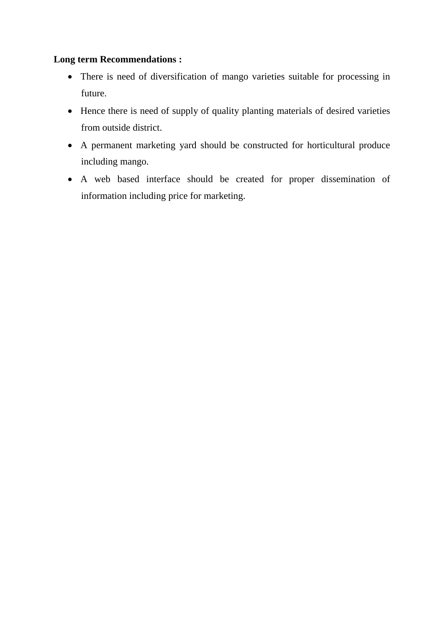### **Long term Recommendations :**

- There is need of diversification of mango varieties suitable for processing in future.
- Hence there is need of supply of quality planting materials of desired varieties from outside district.
- A permanent marketing yard should be constructed for horticultural produce including mango.
- A web based interface should be created for proper dissemination of information including price for marketing.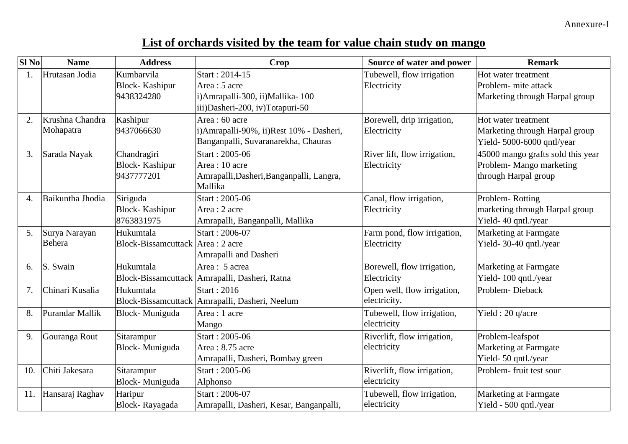## **List of orchards visited by the team for value chain study on mango**

| Sl <sub>No</sub> | <b>Name</b>      | <b>Address</b>                    | <b>Crop</b>                                      | Source of water and power    | <b>Remark</b>                     |
|------------------|------------------|-----------------------------------|--------------------------------------------------|------------------------------|-----------------------------------|
| 1.               | Hrutasan Jodia   | Kumbarvila                        | Start: 2014-15                                   | Tubewell, flow irrigation    | Hot water treatment               |
|                  |                  | <b>Block-</b> Kashipur            | Area: 5 acre                                     | Electricity                  | Problem- mite attack              |
|                  |                  | 9438324280                        | i) Amrapalli-300, ii) Mallika-100                |                              | Marketing through Harpal group    |
|                  |                  |                                   | iii)Dasheri-200, iv)Totapuri-50                  |                              |                                   |
| 2.               | Krushna Chandra  | Kashipur                          | Area: 60 acre                                    | Borewell, drip irrigation,   | Hot water treatment               |
|                  | Mohapatra        | 9437066630                        | i) Amrapalli-90%, ii) Rest 10% - Dasheri,        | Electricity                  | Marketing through Harpal group    |
|                  |                  |                                   | Banganpalli, Suvaranarekha, Chauras              |                              | Yield-5000-6000 qntl/year         |
| 3.               | Sarada Nayak     | Chandragiri                       | Start: 2005-06                                   | River lift, flow irrigation, | 45000 mango grafts sold this year |
|                  |                  | <b>Block-Kashipur</b>             | Area: 10 acre                                    | Electricity                  | Problem-Mango marketing           |
|                  |                  | 9437777201                        | Amrapalli, Dasheri, Banganpalli, Langra,         |                              | through Harpal group              |
|                  |                  |                                   | Mallika                                          |                              |                                   |
| 4.               | Baikuntha Jhodia | Siriguda                          | Start: 2005-06                                   | Canal, flow irrigation,      | Problem-Rotting                   |
|                  |                  | <b>Block-</b> Kashipur            | Area : 2 acre                                    | Electricity                  | marketing through Harpal group    |
|                  |                  | 8763831975                        | Amrapalli, Banganpalli, Mallika                  |                              | Yield-40 qntl./year               |
| 5.               | Surya Narayan    | Hukumtala                         | Start: 2006-07                                   | Farm pond, flow irrigation,  | Marketing at Farmgate             |
|                  | Behera           | Block-Bissamcuttack Area : 2 acre |                                                  | Electricity                  | Yield-30-40 qntl./year            |
|                  |                  |                                   | Amrapalli and Dasheri                            |                              |                                   |
| 6.               | S. Swain         | Hukumtala                         | Area: 5 acrea                                    | Borewell, flow irrigation,   | Marketing at Farmgate             |
|                  |                  |                                   | Block-Bissamcuttack   Amrapalli, Dasheri, Ratna  | Electricity                  | Yield-100 qntl./year              |
| 7.               | Chinari Kusalia  | Hukumtala                         | Start: $2016$                                    | Open well, flow irrigation,  | Problem-Dieback                   |
|                  |                  |                                   | Block-Bissamcuttack   Amrapalli, Dasheri, Neelum | electricity.                 |                                   |
| 8.               | Purandar Mallik  | Block-Muniguda                    | Area : 1 acre                                    | Tubewell, flow irrigation,   | Yield: 20 q/acre                  |
|                  |                  |                                   | Mango                                            | electricity                  |                                   |
| 9.               | Gouranga Rout    | Sitarampur                        | Start: 2005-06                                   | Riverlift, flow irrigation,  | Problem-leafspot                  |
|                  |                  | Block-Muniguda                    | Area: 8.75 acre                                  | electricity                  | Marketing at Farmgate             |
|                  |                  |                                   | Amrapalli, Dasheri, Bombay green                 |                              | Yield-50 qntl./year               |
| 10.              | Chiti Jakesara   | Sitarampur                        | Start: 2005-06                                   | Riverlift, flow irrigation,  | Problem-fruit test sour           |
|                  |                  | Block-Muniguda                    | Alphonso                                         | electricity                  |                                   |
| 11.              | Hansaraj Raghav  | Haripur                           | Start: 2006-07                                   | Tubewell, flow irrigation,   | Marketing at Farmgate             |
|                  |                  | Block-Rayagada                    | Amrapalli, Dasheri, Kesar, Banganpalli,          | electricity                  | Yield - 500 qntl./year            |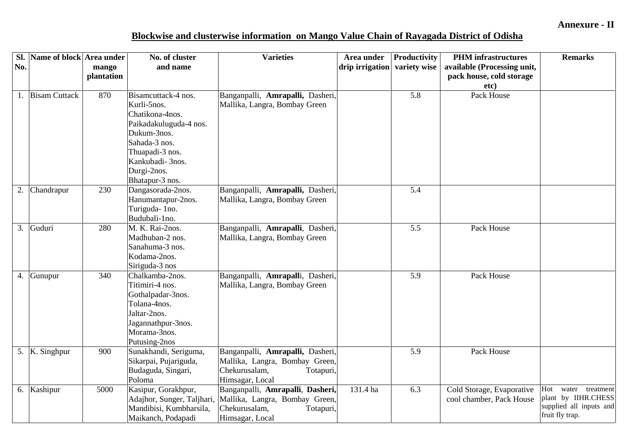## **Blockwise and clusterwise information on Mango Value Chain of Rayagada District of Odisha**

|     | Sl. Name of block Area under |            | No. of cluster                    | <b>Varieties</b>                 | Area under                   | Productivity | <b>PHM</b> infrastructures  | <b>Remarks</b>          |
|-----|------------------------------|------------|-----------------------------------|----------------------------------|------------------------------|--------------|-----------------------------|-------------------------|
| No. |                              | mango      | and name                          |                                  | drip irrigation variety wise |              | available (Processing unit, |                         |
|     |                              | plantation |                                   |                                  |                              |              | pack house, cold storage    |                         |
|     |                              |            |                                   |                                  |                              |              | etc)                        |                         |
|     | 1. Bisam Cuttack             | 870        | Bisamcuttack-4 nos.               | Banganpalli, Amrapalli, Dasheri, |                              | 5.8          | Pack House                  |                         |
|     |                              |            | Kurli-5nos.                       | Mallika, Langra, Bombay Green    |                              |              |                             |                         |
|     |                              |            | Chatikona-4nos.                   |                                  |                              |              |                             |                         |
|     |                              |            | Paikadakuluguda-4 nos.            |                                  |                              |              |                             |                         |
|     |                              |            | Dukum-3nos.                       |                                  |                              |              |                             |                         |
|     |                              |            | Sahada-3 nos.                     |                                  |                              |              |                             |                         |
|     |                              |            | Thuapadi-3 nos.                   |                                  |                              |              |                             |                         |
|     |                              |            | Kankubadi- 3nos.                  |                                  |                              |              |                             |                         |
|     |                              |            | Durgi-2nos.                       |                                  |                              |              |                             |                         |
|     |                              |            | Bhatapur-3 nos.                   |                                  |                              |              |                             |                         |
| 2.  | Chandrapur                   | 230        | Dangasorada-2nos.                 | Banganpalli, Amrapalli, Dasheri, |                              | 5.4          |                             |                         |
|     |                              |            | Hanumantapur-2nos.                | Mallika, Langra, Bombay Green    |                              |              |                             |                         |
|     |                              |            | Turiguda-1no.                     |                                  |                              |              |                             |                         |
|     |                              |            | Budubali-1no.                     |                                  |                              |              |                             |                         |
|     | 3. Guduri                    | 280        | M. K. Rai-2nos.                   | Banganpalli, Amrapalli, Dasheri, |                              | 5.5          | Pack House                  |                         |
|     |                              |            | Madhuban-2 nos.                   | Mallika, Langra, Bombay Green    |                              |              |                             |                         |
|     |                              |            | Sanahuma-3 nos.                   |                                  |                              |              |                             |                         |
|     |                              |            | Kodama-2nos.                      |                                  |                              |              |                             |                         |
|     |                              | 340        | Siriguda-3 nos<br>Chalkamba-2nos. |                                  |                              | 5.9          | Pack House                  |                         |
|     | 4. Gunupur                   |            | Titimiri-4 nos.                   | Banganpalli, Amrapalli, Dasheri, |                              |              |                             |                         |
|     |                              |            |                                   | Mallika, Langra, Bombay Green    |                              |              |                             |                         |
|     |                              |            | Gothalpadar-3nos.<br>Tolana-4nos. |                                  |                              |              |                             |                         |
|     |                              |            | Jaltar-2nos.                      |                                  |                              |              |                             |                         |
|     |                              |            | Jagannathpur-3nos.                |                                  |                              |              |                             |                         |
|     |                              |            | Morama-3nos.                      |                                  |                              |              |                             |                         |
|     |                              |            | Putusing-2nos                     |                                  |                              |              |                             |                         |
|     | 5. K. Singhpur               | 900        | Sunakhandi, Seriguma,             | Banganpalli, Amrapalli, Dasheri, |                              | 5.9          | Pack House                  |                         |
|     |                              |            | Sikarpai, Pujariguda,             | Mallika, Langra, Bombay Green,   |                              |              |                             |                         |
|     |                              |            | Budaguda, Singari,                | Chekurusalam,<br>Totapuri,       |                              |              |                             |                         |
|     |                              |            | Poloma                            | Himsagar, Local                  |                              |              |                             |                         |
|     | 6. Kashipur                  | 5000       | Kasipur, Gorakhpur,               | Banganpalli, Amrapalli, Dasheri, | 131.4 ha                     | 6.3          | Cold Storage, Evaporative   | Hot<br>water treatment  |
|     |                              |            | Adajhor, Sunger, Taljhari,        | Mallika, Langra, Bombay Green,   |                              |              | cool chamber, Pack House    | plant by IIHR.CHESS     |
|     |                              |            | Mandibisi, Kumbharsila,           | Chekurusalam,<br>Totapuri,       |                              |              |                             | supplied all inputs and |
|     |                              |            | Maikanch, Podapadi                | Himsagar, Local                  |                              |              |                             | fruit fly trap.         |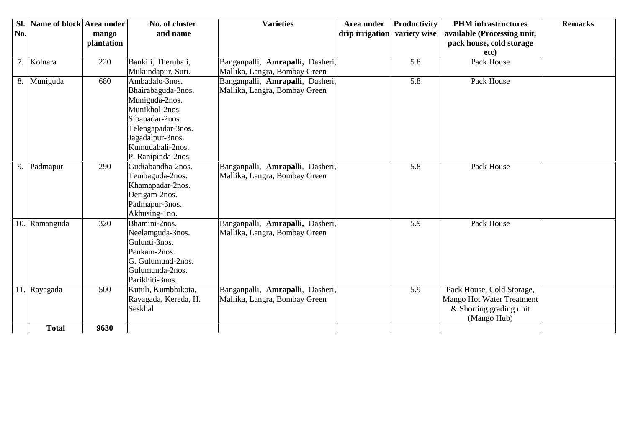| Sl. | Name of block Area under |            | No. of cluster                    | <b>Varieties</b>                 | Area under      | Productivity | <b>PHM</b> infrastructures  | <b>Remarks</b> |
|-----|--------------------------|------------|-----------------------------------|----------------------------------|-----------------|--------------|-----------------------------|----------------|
| No. |                          | mango      | and name                          |                                  | drip irrigation | variety wise | available (Processing unit, |                |
|     |                          | plantation |                                   |                                  |                 |              | pack house, cold storage    |                |
|     |                          |            |                                   |                                  |                 |              | etc)                        |                |
|     | 7. Kolnara               | 220        | Bankili, Therubali,               | Banganpalli, Amrapalli, Dasheri, |                 | 5.8          | Pack House                  |                |
|     |                          |            | Mukundapur, Suri.                 | Mallika, Langra, Bombay Green    |                 |              |                             |                |
|     | 8. Muniguda              | 680        | Ambadalo-3nos.                    | Banganpalli, Amrapalli, Dasheri, |                 | 5.8          | Pack House                  |                |
|     |                          |            | Bhairabaguda-3nos.                | Mallika, Langra, Bombay Green    |                 |              |                             |                |
|     |                          |            | Muniguda-2nos.                    |                                  |                 |              |                             |                |
|     |                          |            | Munikhol-2nos.                    |                                  |                 |              |                             |                |
|     |                          |            | Sibapadar-2nos.                   |                                  |                 |              |                             |                |
|     |                          |            | Telengapadar-3nos.                |                                  |                 |              |                             |                |
|     |                          |            | Jagadalpur-3nos.                  |                                  |                 |              |                             |                |
|     |                          |            | Kumudabali-2nos.                  |                                  |                 |              |                             |                |
|     |                          |            | P. Ranipinda-2nos.                |                                  |                 |              |                             |                |
| 9.  | Padmapur                 | 290        | Gudiabandha-2nos.                 | Banganpalli, Amrapalli, Dasheri, |                 | 5.8          | Pack House                  |                |
|     |                          |            | Tembaguda-2nos.                   | Mallika, Langra, Bombay Green    |                 |              |                             |                |
|     |                          |            | Khamapadar-2nos.                  |                                  |                 |              |                             |                |
|     |                          |            | Derigam-2nos.                     |                                  |                 |              |                             |                |
|     |                          |            | Padmapur-3nos.                    |                                  |                 |              |                             |                |
|     |                          |            | Akhusing-1no.                     |                                  |                 |              |                             |                |
|     | 10. Ramanguda            | 320        | Bhamini-2nos.                     | Banganpalli, Amrapalli, Dasheri, |                 | 5.9          | Pack House                  |                |
|     |                          |            | Neelamguda-3nos.<br>Gulunti-3nos. | Mallika, Langra, Bombay Green    |                 |              |                             |                |
|     |                          |            | Penkam-2nos.                      |                                  |                 |              |                             |                |
|     |                          |            | G. Gulumund-2nos.                 |                                  |                 |              |                             |                |
|     |                          |            | Gulumunda-2nos.                   |                                  |                 |              |                             |                |
|     |                          |            | Parikhiti-3nos.                   |                                  |                 |              |                             |                |
|     | 11. Rayagada             | 500        | Kutuli, Kumbhikota,               | Banganpalli, Amrapalli, Dasheri, |                 | 5.9          | Pack House, Cold Storage,   |                |
|     |                          |            | Rayagada, Kereda, H.              | Mallika, Langra, Bombay Green    |                 |              | Mango Hot Water Treatment   |                |
|     |                          |            | Seskhal                           |                                  |                 |              | & Shorting grading unit     |                |
|     |                          |            |                                   |                                  |                 |              | (Mango Hub)                 |                |
|     | <b>Total</b>             | 9630       |                                   |                                  |                 |              |                             |                |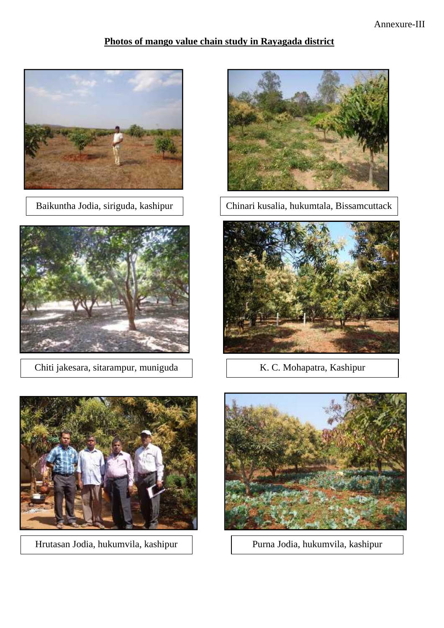## **Photos of mango value chain study in Rayagada district**





Chiti jakesara, sitarampur, muniguda K. C. Mohapatra, Kashipur



Hrutasan Jodia, hukumvila, kashipur Purna Jodia, hukumvila, kashipur



Baikuntha Jodia, siriguda, kashipur | Chinari kusalia, hukumtala, Bissamcuttack